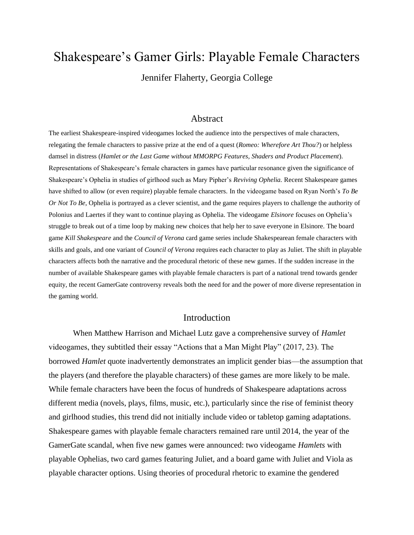# Shakespeare's Gamer Girls: Playable Female Characters

Jennifer Flaherty, Georgia College

#### Abstract

The earliest Shakespeare-inspired videogames locked the audience into the perspectives of male characters, relegating the female characters to passive prize at the end of a quest (*Romeo: Wherefore Art Thou?*) or helpless damsel in distress (*Hamlet or the Last Game without MMORPG Features, Shaders and Product Placement*). Representations of Shakespeare's female characters in games have particular resonance given the significance of Shakespeare's Ophelia in studies of girlhood such as Mary Pipher's *Reviving Ophelia.* Recent Shakespeare games have shifted to allow (or even require) playable female characters. In the videogame based on Ryan North's *To Be Or Not To Be*, Ophelia is portrayed as a clever scientist, and the game requires players to challenge the authority of Polonius and Laertes if they want to continue playing as Ophelia. The videogame *Elsinore* focuses on Ophelia's struggle to break out of a time loop by making new choices that help her to save everyone in Elsinore. The board game *Kill Shakespeare* and the *Council of Verona* card game series include Shakespearean female characters with skills and goals, and one variant of *Council of Verona* requires each character to play as Juliet. The shift in playable characters affects both the narrative and the procedural rhetoric of these new games. If the sudden increase in the number of available Shakespeare games with playable female characters is part of a national trend towards gender equity, the recent GamerGate controversy reveals both the need for and the power of more diverse representation in the gaming world.

## Introduction

When Matthew Harrison and Michael Lutz gave a comprehensive survey of *Hamlet* videogames, they subtitled their essay "Actions that a Man Might Play" (2017, 23). The borrowed *Hamlet* quote inadvertently demonstrates an implicit gender bias—the assumption that the players (and therefore the playable characters) of these games are more likely to be male. While female characters have been the focus of hundreds of Shakespeare adaptations across different media (novels, plays, films, music, etc.), particularly since the rise of feminist theory and girlhood studies, this trend did not initially include video or tabletop gaming adaptations. Shakespeare games with playable female characters remained rare until 2014, the year of the GamerGate scandal, when five new games were announced: two videogame *Hamlets* with playable Ophelias, two card games featuring Juliet, and a board game with Juliet and Viola as playable character options. Using theories of procedural rhetoric to examine the gendered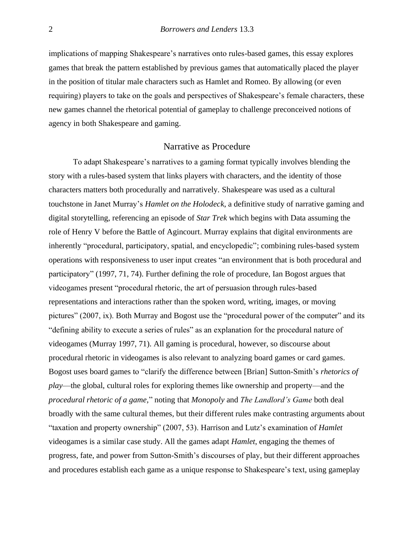implications of mapping Shakespeare's narratives onto rules-based games, this essay explores games that break the pattern established by previous games that automatically placed the player in the position of titular male characters such as Hamlet and Romeo. By allowing (or even requiring) players to take on the goals and perspectives of Shakespeare's female characters, these new games channel the rhetorical potential of gameplay to challenge preconceived notions of agency in both Shakespeare and gaming.

### Narrative as Procedure

To adapt Shakespeare's narratives to a gaming format typically involves blending the story with a rules-based system that links players with characters, and the identity of those characters matters both procedurally and narratively. Shakespeare was used as a cultural touchstone in Janet Murray's *Hamlet on the Holodeck*, a definitive study of narrative gaming and digital storytelling, referencing an episode of *Star Trek* which begins with Data assuming the role of Henry V before the Battle of Agincourt. Murray explains that digital environments are inherently "procedural, participatory, spatial, and encyclopedic"; combining rules-based system operations with responsiveness to user input creates "an environment that is both procedural and participatory" (1997, 71, 74). Further defining the role of procedure, Ian Bogost argues that videogames present "procedural rhetoric, the art of persuasion through rules-based representations and interactions rather than the spoken word, writing, images, or moving pictures" (2007, ix). Both Murray and Bogost use the "procedural power of the computer" and its "defining ability to execute a series of rules" as an explanation for the procedural nature of videogames (Murray 1997, 71). All gaming is procedural, however, so discourse about procedural rhetoric in videogames is also relevant to analyzing board games or card games. Bogost uses board games to "clarify the difference between [Brian] Sutton-Smith's *rhetorics of play*—the global, cultural roles for exploring themes like ownership and property—and the *procedural rhetoric of a game,*" noting that *Monopoly* and *The Landlord's Game* both deal broadly with the same cultural themes, but their different rules make contrasting arguments about "taxation and property ownership" (2007, 53). Harrison and Lutz's examination of *Hamlet*  videogames is a similar case study. All the games adapt *Hamlet*, engaging the themes of progress, fate, and power from Sutton-Smith's discourses of play, but their different approaches and procedures establish each game as a unique response to Shakespeare's text, using gameplay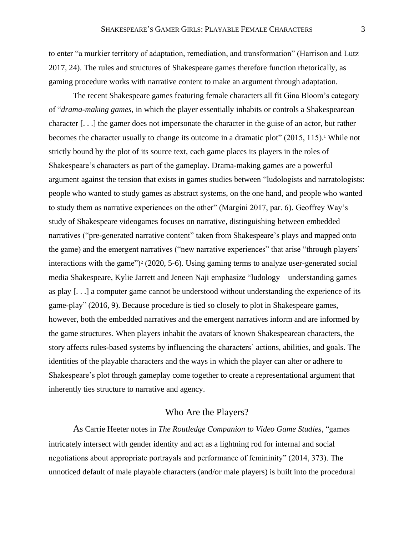to enter "a murkier territory of adaptation, remediation, and transformation" (Harrison and Lutz 2017, 24). The rules and structures of Shakespeare games therefore function rhetorically, as gaming procedure works with narrative content to make an argument through adaptation.

The recent Shakespeare games featuring female characters all fit Gina Bloom's category of "*drama-making games*, in which the player essentially inhabits or controls a Shakespearean character [. . .] the gamer does not impersonate the character in the guise of an actor, but rather becomes the character usually to change its outcome in a dramatic plot"  $(2015, 115)$ .<sup>1</sup> While not strictly bound by the plot of its source text, each game places its players in the roles of Shakespeare's characters as part of the gameplay. Drama-making games are a powerful argument against the tension that exists in games studies between "ludologists and narratologists: people who wanted to study games as abstract systems, on the one hand, and people who wanted to study them as narrative experiences on the other" (Margini 2017, par. 6). Geoffrey Way's study of Shakespeare videogames focuses on narrative, distinguishing between embedded narratives ("pre-generated narrative content" taken from Shakespeare's plays and mapped onto the game) and the emergent narratives ("new narrative experiences" that arise "through players' interactions with the game" $)$ <sup>2</sup> (2020, 5-6). Using gaming terms to analyze user-generated social media Shakespeare, Kylie Jarrett and Jeneen Naji emphasize "ludology—understanding games as play [. . .] a computer game cannot be understood without understanding the experience of its game-play" (2016, 9). Because procedure is tied so closely to plot in Shakespeare games, however, both the embedded narratives and the emergent narratives inform and are informed by the game structures. When players inhabit the avatars of known Shakespearean characters, the story affects rules-based systems by influencing the characters' actions, abilities, and goals. The identities of the playable characters and the ways in which the player can alter or adhere to Shakespeare's plot through gameplay come together to create a representational argument that inherently ties structure to narrative and agency.

## Who Are the Players?

As Carrie Heeter notes in *The Routledge Companion to Video Game Studies*, "games intricately intersect with gender identity and act as a lightning rod for internal and social negotiations about appropriate portrayals and performance of femininity" (2014, 373). The unnoticed default of male playable characters (and/or male players) is built into the procedural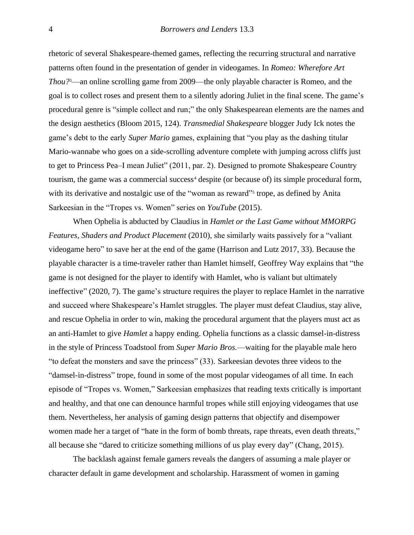rhetoric of several Shakespeare-themed games, reflecting the recurring structural and narrative patterns often found in the presentation of gender in videogames. In *Romeo: Wherefore Art Thou?*3—an online scrolling game from 2009—the only playable character is Romeo, and the goal is to collect roses and present them to a silently adoring Juliet in the final scene. The game's procedural genre is "simple collect and run;" the only Shakespearean elements are the names and the design aesthetics (Bloom 2015, 124). *Transmedial Shakespeare* blogger Judy Ick notes the game's debt to the early *Super Mario* games, explaining that "you play as the dashing titular Mario-wannabe who goes on a side-scrolling adventure complete with jumping across cliffs just to get to Princess Pea–I mean Juliet" (2011, par. 2). Designed to promote Shakespeare Country tourism, the game was a commercial success<sup>4</sup> despite (or because of) its simple procedural form, with its derivative and nostalgic use of the "woman as reward"<sup>5</sup> trope, as defined by Anita Sarkeesian in the "Tropes vs. Women" series on *YouTube* (2015).

When Ophelia is abducted by Claudius in *Hamlet or the Last Game without MMORPG Features, Shaders and Product Placement* (2010), she similarly waits passively for a "valiant videogame hero" to save her at the end of the game (Harrison and Lutz 2017, 33). Because the playable character is a time-traveler rather than Hamlet himself, Geoffrey Way explains that "the game is not designed for the player to identify with Hamlet, who is valiant but ultimately ineffective" (2020, 7). The game's structure requires the player to replace Hamlet in the narrative and succeed where Shakespeare's Hamlet struggles. The player must defeat Claudius, stay alive, and rescue Ophelia in order to win, making the procedural argument that the players must act as an anti-Hamlet to give *Hamlet* a happy ending. Ophelia functions as a classic damsel-in-distress in the style of Princess Toadstool from *Super Mario Bros.*—waiting for the playable male hero "to defeat the monsters and save the princess" (33). Sarkeesian devotes three videos to the "damsel-in-distress" trope, found in some of the most popular videogames of all time. In each episode of "Tropes vs. Women," Sarkeesian emphasizes that reading texts critically is important and healthy, and that one can denounce harmful tropes while still enjoying videogames that use them. Nevertheless, her analysis of gaming design patterns that objectify and disempower women made her a target of "hate in the form of bomb threats, rape threats, even death threats," all because she "dared to criticize something millions of us play every day" (Chang, 2015).

The backlash against female gamers reveals the dangers of assuming a male player or character default in game development and scholarship. Harassment of women in gaming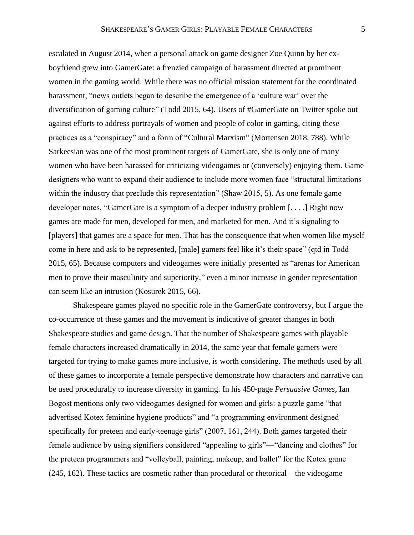escalated in August 2014, when a personal attack on game designer Zoe Quinn by her exboyfriend grew into GamerGate: a frenzied campaign of harassment directed at prominent women in the gaming world. While there was no official mission statement for the coordinated harassment, "news outlets began to describe the emergence of a 'culture war' over the diversification of gaming culture" (Todd 2015, 64). Users of #GamerGate on Twitter spoke out against efforts to address portrayals of women and people of color in gaming, citing these practices as a "conspiracy" and a form of "Cultural Marxism" (Mortensen 2018, 788). While Sarkeesian was one of the most prominent targets of GamerGate, she is only one of many women who have been harassed for criticizing videogames or (conversely) enjoying them. Game designers who want to expand their audience to include more women face "structural limitations within the industry that preclude this representation" (Shaw 2015, 5). As one female game developer notes, "GamerGate is a symptom of a deeper industry problem [. . . .] Right now games are made for men, developed for men, and marketed for men. And it's signaling to [players] that games are a space for men. That has the consequence that when women like myself come in here and ask to be represented, [male] gamers feel like it's their space" (qtd in Todd 2015, 65). Because computers and videogames were initially presented as "arenas for American men to prove their masculinity and superiority," even a minor increase in gender representation can seem like an intrusion (Kosurek 2015, 66).

Shakespeare games played no specific role in the GamerGate controversy, but I argue the co-occurrence of these games and the movement is indicative of greater changes in both Shakespeare studies and game design. That the number of Shakespeare games with playable female characters increased dramatically in 2014, the same year that female gamers were targeted for trying to make games more inclusive, is worth considering. The methods used by all of these games to incorporate a female perspective demonstrate how characters and narrative can be used procedurally to increase diversity in gaming. In his 450-page *Persuasive Games*, Ian Bogost mentions only two videogames designed for women and girls: a puzzle game "that advertised Kotex feminine hygiene products" and "a programming environment designed specifically for preteen and early-teenage girls" (2007, 161, 244). Both games targeted their female audience by using signifiers considered "appealing to girls"—"dancing and clothes" for the preteen programmers and "volleyball, painting, makeup, and ballet" for the Kotex game (245, 162). These tactics are cosmetic rather than procedural or rhetorical—the videogame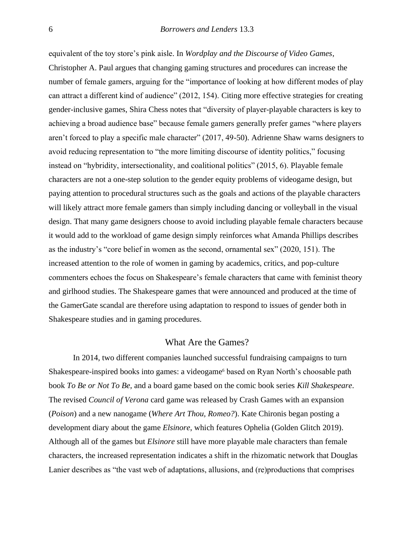equivalent of the toy store's pink aisle. In *Wordplay and the Discourse of Video Games*, Christopher A. Paul argues that changing gaming structures and procedures can increase the number of female gamers, arguing for the "importance of looking at how different modes of play can attract a different kind of audience" (2012, 154). Citing more effective strategies for creating gender-inclusive games, Shira Chess notes that "diversity of player-playable characters is key to achieving a broad audience base" because female gamers generally prefer games "where players aren't forced to play a specific male character" (2017, 49-50). Adrienne Shaw warns designers to avoid reducing representation to "the more limiting discourse of identity politics," focusing instead on "hybridity, intersectionality, and coalitional politics" (2015, 6). Playable female characters are not a one-step solution to the gender equity problems of videogame design, but paying attention to procedural structures such as the goals and actions of the playable characters will likely attract more female gamers than simply including dancing or volleyball in the visual design. That many game designers choose to avoid including playable female characters because it would add to the workload of game design simply reinforces what Amanda Phillips describes as the industry's "core belief in women as the second, ornamental sex" (2020, 151). The increased attention to the role of women in gaming by academics, critics, and pop-culture commenters echoes the focus on Shakespeare's female characters that came with feminist theory and girlhood studies. The Shakespeare games that were announced and produced at the time of the GamerGate scandal are therefore using adaptation to respond to issues of gender both in Shakespeare studies and in gaming procedures.

## What Are the Games?

In 2014, two different companies launched successful fundraising campaigns to turn Shakespeare-inspired books into games: a videogame<sup>6</sup> based on Ryan North's choosable path book *To Be or Not To Be*, and a board game based on the comic book series *Kill Shakespeare*. The revised *Council of Verona* card game was released by Crash Games with an expansion (*Poison*) and a new nanogame (*Where Art Thou, Romeo?*). Kate Chironis began posting a development diary about the game *Elsinore*, which features Ophelia (Golden Glitch 2019). Although all of the games but *Elsinore* still have more playable male characters than female characters, the increased representation indicates a shift in the rhizomatic network that Douglas Lanier describes as "the vast web of adaptations, allusions, and (re)productions that comprises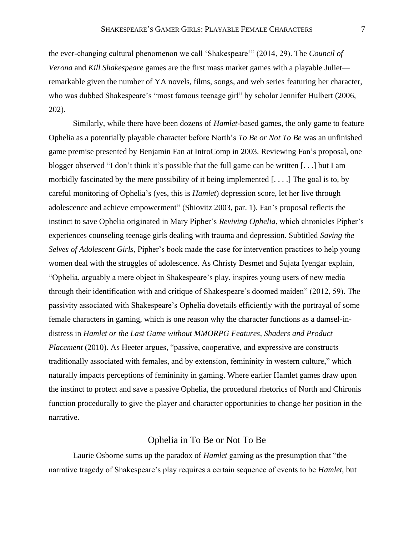the ever-changing cultural phenomenon we call 'Shakespeare'" (2014, 29). The *Council of Verona* and *Kill Shakespeare* games are the first mass market games with a playable Juliet remarkable given the number of YA novels, films, songs, and web series featuring her character, who was dubbed Shakespeare's "most famous teenage girl" by scholar Jennifer Hulbert (2006, 202).

Similarly, while there have been dozens of *Hamlet*-based games, the only game to feature Ophelia as a potentially playable character before North's *To Be or Not To Be* was an unfinished game premise presented by Benjamin Fan at IntroComp in 2003. Reviewing Fan's proposal, one blogger observed "I don't think it's possible that the full game can be written [. . .] but I am morbidly fascinated by the mere possibility of it being implemented  $[\dots]$  The goal is to, by careful monitoring of Ophelia's (yes, this is *Hamlet*) depression score, let her live through adolescence and achieve empowerment" (Shiovitz 2003, par. 1). Fan's proposal reflects the instinct to save Ophelia originated in Mary Pipher's *Reviving Ophelia*, which chronicles Pipher's experiences counseling teenage girls dealing with trauma and depression. Subtitled *Saving the Selves of Adolescent Girls*, Pipher's book made the case for intervention practices to help young women deal with the struggles of adolescence. As Christy Desmet and Sujata Iyengar explain, "Ophelia, arguably a mere object in Shakespeare's play, inspires young users of new media through their identification with and critique of Shakespeare's doomed maiden" (2012, 59). The passivity associated with Shakespeare's Ophelia dovetails efficiently with the portrayal of some female characters in gaming, which is one reason why the character functions as a damsel-indistress in *Hamlet or the Last Game without MMORPG Features, Shaders and Product Placement* (2010). As Heeter argues, "passive, cooperative, and expressive are constructs traditionally associated with females, and by extension, femininity in western culture," which naturally impacts perceptions of femininity in gaming. Where earlier Hamlet games draw upon the instinct to protect and save a passive Ophelia, the procedural rhetorics of North and Chironis function procedurally to give the player and character opportunities to change her position in the narrative.

# Ophelia in To Be or Not To Be

Laurie Osborne sums up the paradox of *Hamlet* gaming as the presumption that "the narrative tragedy of Shakespeare's play requires a certain sequence of events to be *Hamlet*, but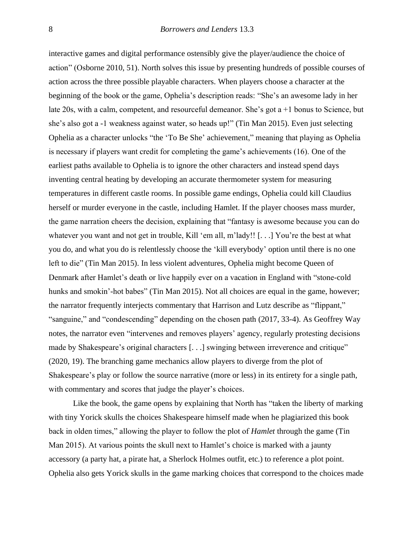interactive games and digital performance ostensibly give the player/audience the choice of action" (Osborne 2010, 51). North solves this issue by presenting hundreds of possible courses of action across the three possible playable characters. When players choose a character at the beginning of the book or the game, Ophelia's description reads: "She's an awesome lady in her late 20s, with a calm, competent, and resourceful demeanor. She's got a +1 bonus to Science, but she's also got a -1 weakness against water, so heads up!" (Tin Man 2015). Even just selecting Ophelia as a character unlocks "the 'To Be She' achievement," meaning that playing as Ophelia is necessary if players want credit for completing the game's achievements (16). One of the earliest paths available to Ophelia is to ignore the other characters and instead spend days inventing central heating by developing an accurate thermometer system for measuring temperatures in different castle rooms. In possible game endings, Ophelia could kill Claudius herself or murder everyone in the castle, including Hamlet. If the player chooses mass murder, the game narration cheers the decision, explaining that "fantasy is awesome because you can do whatever you want and not get in trouble, Kill 'em all, m'lady!! [...] You're the best at what you do, and what you do is relentlessly choose the 'kill everybody' option until there is no one left to die" (Tin Man 2015). In less violent adventures, Ophelia might become Queen of Denmark after Hamlet's death or live happily ever on a vacation in England with "stone-cold hunks and smokin'-hot babes" (Tin Man 2015). Not all choices are equal in the game, however; the narrator frequently interjects commentary that Harrison and Lutz describe as "flippant," "sanguine," and "condescending" depending on the chosen path (2017, 33-4). As Geoffrey Way notes, the narrator even "intervenes and removes players' agency, regularly protesting decisions made by Shakespeare's original characters [. . .] swinging between irreverence and critique" (2020, 19). The branching game mechanics allow players to diverge from the plot of Shakespeare's play or follow the source narrative (more or less) in its entirety for a single path, with commentary and scores that judge the player's choices.

Like the book, the game opens by explaining that North has "taken the liberty of marking with tiny Yorick skulls the choices Shakespeare himself made when he plagiarized this book back in olden times," allowing the player to follow the plot of *Hamlet* through the game (Tin Man 2015). At various points the skull next to Hamlet's choice is marked with a jaunty accessory (a party hat, a pirate hat, a Sherlock Holmes outfit, etc.) to reference a plot point. Ophelia also gets Yorick skulls in the game marking choices that correspond to the choices made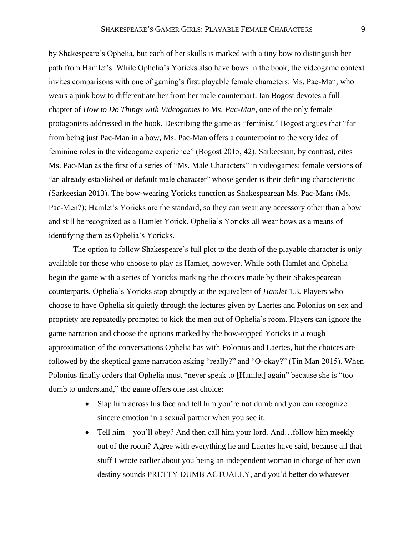by Shakespeare's Ophelia, but each of her skulls is marked with a tiny bow to distinguish her path from Hamlet's. While Ophelia's Yoricks also have bows in the book, the videogame context invites comparisons with one of gaming's first playable female characters: Ms. Pac-Man, who wears a pink bow to differentiate her from her male counterpart. Ian Bogost devotes a full chapter of *How to Do Things with Videogames* to *Ms. Pac-Man*, one of the only female protagonists addressed in the book. Describing the game as "feminist," Bogost argues that "far from being just Pac-Man in a bow, Ms. Pac-Man offers a counterpoint to the very idea of feminine roles in the videogame experience" (Bogost 2015, 42). Sarkeesian, by contrast, cites Ms. Pac-Man as the first of a series of "Ms. Male Characters" in videogames: female versions of "an already established or default male character" whose gender is their defining characteristic (Sarkeesian 2013). The bow-wearing Yoricks function as Shakespearean Ms. Pac-Mans (Ms. Pac-Men?); Hamlet's Yoricks are the standard, so they can wear any accessory other than a bow and still be recognized as a Hamlet Yorick. Ophelia's Yoricks all wear bows as a means of identifying them as Ophelia's Yoricks.

The option to follow Shakespeare's full plot to the death of the playable character is only available for those who choose to play as Hamlet, however. While both Hamlet and Ophelia begin the game with a series of Yoricks marking the choices made by their Shakespearean counterparts, Ophelia's Yoricks stop abruptly at the equivalent of *Hamlet* 1.3. Players who choose to have Ophelia sit quietly through the lectures given by Laertes and Polonius on sex and propriety are repeatedly prompted to kick the men out of Ophelia's room. Players can ignore the game narration and choose the options marked by the bow-topped Yoricks in a rough approximation of the conversations Ophelia has with Polonius and Laertes, but the choices are followed by the skeptical game narration asking "really?" and "O-okay?" (Tin Man 2015). When Polonius finally orders that Ophelia must "never speak to [Hamlet] again" because she is "too dumb to understand," the game offers one last choice:

- Slap him across his face and tell him you're not dumb and you can recognize sincere emotion in a sexual partner when you see it.
- Tell him—you'll obey? And then call him your lord. And...follow him meekly out of the room? Agree with everything he and Laertes have said, because all that stuff I wrote earlier about you being an independent woman in charge of her own destiny sounds PRETTY DUMB ACTUALLY, and you'd better do whatever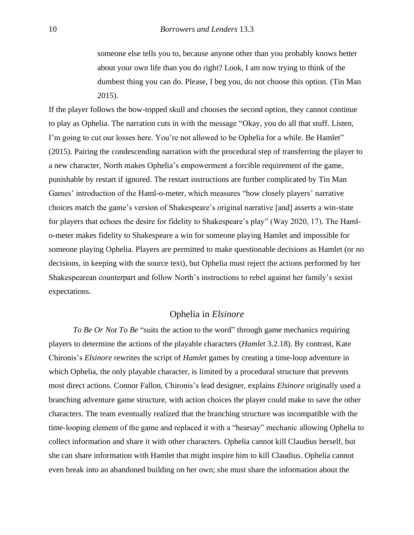someone else tells you to, because anyone other than you probably knows better about your own life than you do right? Look, I am now trying to think of the dumbest thing you can do. Please, I beg you, do not choose this option. (Tin Man 2015).

If the player follows the bow-topped skull and chooses the second option, they cannot continue to play as Ophelia. The narration cuts in with the message "Okay, you do all that stuff. Listen, I'm going to cut our losses here. You're not allowed to be Ophelia for a while. Be Hamlet" (2015). Pairing the condescending narration with the procedural step of transferring the player to a new character, North makes Ophelia's empowerment a forcible requirement of the game, punishable by restart if ignored. The restart instructions are further complicated by Tin Man Games' introduction of the Haml-o-meter, which measures "how closely players' narrative choices match the game's version of Shakespeare's original narrative [and] asserts a win-state for players that echoes the desire for fidelity to Shakespeare's play" (Way 2020, 17). The Hamlo-meter makes fidelity to Shakespeare a win for someone playing Hamlet and impossible for someone playing Ophelia. Players are permitted to make questionable decisions as Hamlet (or no decisions, in keeping with the source text), but Ophelia must reject the actions performed by her Shakespearean counterpart and follow North's instructions to rebel against her family's sexist expectations.

#### Ophelia in *Elsinore*

*To Be Or Not To Be* "suits the action to the word" through game mechanics requiring players to determine the actions of the playable characters (*Hamlet* 3.2.18). By contrast, Kate Chironis's *Elsinore* rewrites the script of *Hamlet* games by creating a time-loop adventure in which Ophelia, the only playable character, is limited by a procedural structure that prevents most direct actions. Connor Fallon, Chironis's lead designer, explains *Elsinore* originally used a branching adventure game structure, with action choices the player could make to save the other characters. The team eventually realized that the branching structure was incompatible with the time-looping element of the game and replaced it with a "hearsay" mechanic allowing Ophelia to collect information and share it with other characters. Ophelia cannot kill Claudius herself, but she can share information with Hamlet that might inspire him to kill Claudius. Ophelia cannot even break into an abandoned building on her own; she must share the information about the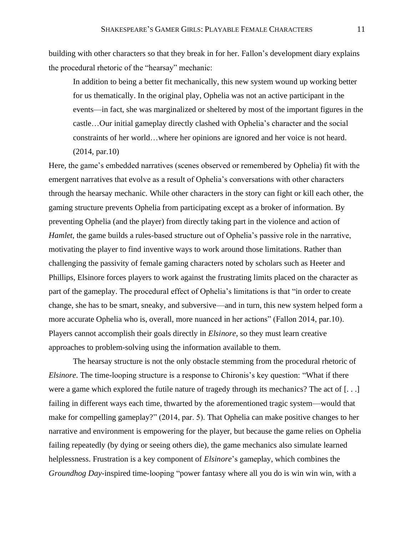building with other characters so that they break in for her. Fallon's development diary explains the procedural rhetoric of the "hearsay" mechanic:

In addition to being a better fit mechanically, this new system wound up working better for us thematically. In the original play, Ophelia was not an active participant in the events—in fact, she was marginalized or sheltered by most of the important figures in the castle…Our initial gameplay directly clashed with Ophelia's character and the social constraints of her world…where her opinions are ignored and her voice is not heard. (2014, par.10)

Here, the game's embedded narratives (scenes observed or remembered by Ophelia) fit with the emergent narratives that evolve as a result of Ophelia's conversations with other characters through the hearsay mechanic. While other characters in the story can fight or kill each other, the gaming structure prevents Ophelia from participating except as a broker of information. By preventing Ophelia (and the player) from directly taking part in the violence and action of *Hamlet*, the game builds a rules-based structure out of Ophelia's passive role in the narrative, motivating the player to find inventive ways to work around those limitations. Rather than challenging the passivity of female gaming characters noted by scholars such as Heeter and Phillips, Elsinore forces players to work against the frustrating limits placed on the character as part of the gameplay. The procedural effect of Ophelia's limitations is that "in order to create change, she has to be smart, sneaky, and subversive—and in turn, this new system helped form a more accurate Ophelia who is, overall, more nuanced in her actions" (Fallon 2014, par.10). Players cannot accomplish their goals directly in *Elsinore*, so they must learn creative approaches to problem-solving using the information available to them.

The hearsay structure is not the only obstacle stemming from the procedural rhetoric of *Elsinore*. The time-looping structure is a response to Chironis's key question: "What if there were a game which explored the futile nature of tragedy through its mechanics? The act of [. . .] failing in different ways each time, thwarted by the aforementioned tragic system—would that make for compelling gameplay?" (2014, par. 5). That Ophelia can make positive changes to her narrative and environment is empowering for the player, but because the game relies on Ophelia failing repeatedly (by dying or seeing others die), the game mechanics also simulate learned helplessness. Frustration is a key component of *Elsinore*'s gameplay, which combines the *Groundhog Day*-inspired time-looping "power fantasy where all you do is win win win, with a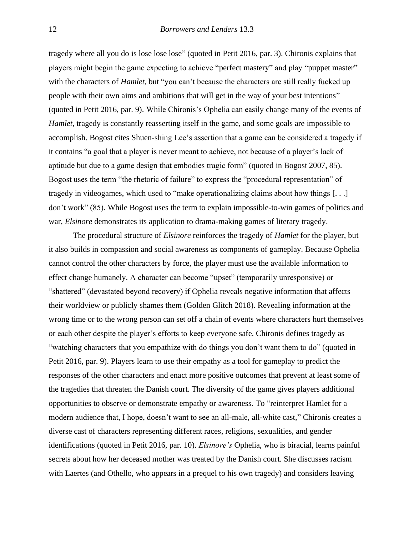tragedy where all you do is lose lose lose" (quoted in Petit 2016, par. 3). Chironis explains that players might begin the game expecting to achieve "perfect mastery" and play "puppet master" with the characters of *Hamlet*, but "you can't because the characters are still really fucked up people with their own aims and ambitions that will get in the way of your best intentions" (quoted in Petit 2016, par. 9). While Chironis's Ophelia can easily change many of the events of *Hamlet*, tragedy is constantly reasserting itself in the game, and some goals are impossible to accomplish. Bogost cites Shuen-shing Lee's assertion that a game can be considered a tragedy if it contains "a goal that a player is never meant to achieve, not because of a player's lack of aptitude but due to a game design that embodies tragic form" (quoted in Bogost 2007, 85). Bogost uses the term "the rhetoric of failure" to express the "procedural representation" of tragedy in videogames, which used to "make operationalizing claims about how things [. . .] don't work" (85). While Bogost uses the term to explain impossible-to-win games of politics and war, *Elsinore* demonstrates its application to drama-making games of literary tragedy.

The procedural structure of *Elsinore* reinforces the tragedy of *Hamlet* for the player, but it also builds in compassion and social awareness as components of gameplay. Because Ophelia cannot control the other characters by force, the player must use the available information to effect change humanely. A character can become "upset" (temporarily unresponsive) or "shattered" (devastated beyond recovery) if Ophelia reveals negative information that affects their worldview or publicly shames them (Golden Glitch 2018). Revealing information at the wrong time or to the wrong person can set off a chain of events where characters hurt themselves or each other despite the player's efforts to keep everyone safe. Chironis defines tragedy as "watching characters that you empathize with do things you don't want them to do" (quoted in Petit 2016, par. 9). Players learn to use their empathy as a tool for gameplay to predict the responses of the other characters and enact more positive outcomes that prevent at least some of the tragedies that threaten the Danish court. The diversity of the game gives players additional opportunities to observe or demonstrate empathy or awareness. To "reinterpret Hamlet for a modern audience that, I hope, doesn't want to see an all-male, all-white cast," Chironis creates a diverse cast of characters representing different races, religions, sexualities, and gender identifications (quoted in Petit 2016, par. 10). *Elsinore's* Ophelia, who is biracial, learns painful secrets about how her deceased mother was treated by the Danish court. She discusses racism with Laertes (and Othello, who appears in a prequel to his own tragedy) and considers leaving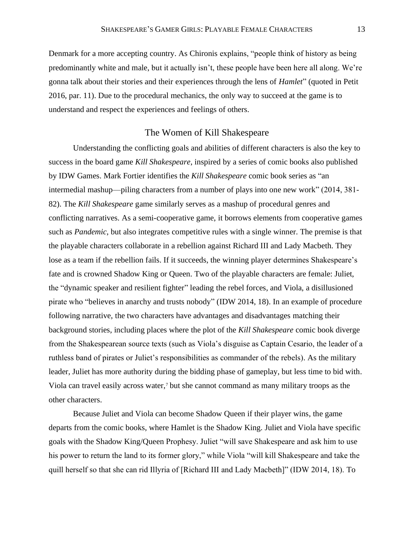Denmark for a more accepting country. As Chironis explains, "people think of history as being predominantly white and male, but it actually isn't, these people have been here all along. We're gonna talk about their stories and their experiences through the lens of *Hamlet*" (quoted in Petit 2016, par. 11). Due to the procedural mechanics, the only way to succeed at the game is to understand and respect the experiences and feelings of others.

#### The Women of Kill Shakespeare

Understanding the conflicting goals and abilities of different characters is also the key to success in the board game *Kill Shakespeare*, inspired by a series of comic books also published by IDW Games. Mark Fortier identifies the *Kill Shakespeare* comic book series as "an intermedial mashup—piling characters from a number of plays into one new work" (2014, 381- 82). The *Kill Shakespeare* game similarly serves as a mashup of procedural genres and conflicting narratives. As a semi-cooperative game, it borrows elements from cooperative games such as *Pandemic*, but also integrates competitive rules with a single winner. The premise is that the playable characters collaborate in a rebellion against Richard III and Lady Macbeth. They lose as a team if the rebellion fails. If it succeeds, the winning player determines Shakespeare's fate and is crowned Shadow King or Queen. Two of the playable characters are female: Juliet, the "dynamic speaker and resilient fighter" leading the rebel forces, and Viola, a disillusioned pirate who "believes in anarchy and trusts nobody" (IDW 2014, 18). In an example of procedure following narrative, the two characters have advantages and disadvantages matching their background stories, including places where the plot of the *Kill Shakespeare* comic book diverge from the Shakespearean source texts (such as Viola's disguise as Captain Cesario, the leader of a ruthless band of pirates or Juliet's responsibilities as commander of the rebels). As the military leader, Juliet has more authority during the bidding phase of gameplay, but less time to bid with. Viola can travel easily across water,<sup>7</sup> but she cannot command as many military troops as the other characters.

Because Juliet and Viola can become Shadow Queen if their player wins, the game departs from the comic books, where Hamlet is the Shadow King. Juliet and Viola have specific goals with the Shadow King/Queen Prophesy. Juliet "will save Shakespeare and ask him to use his power to return the land to its former glory," while Viola "will kill Shakespeare and take the quill herself so that she can rid Illyria of [Richard III and Lady Macbeth]" (IDW 2014, 18). To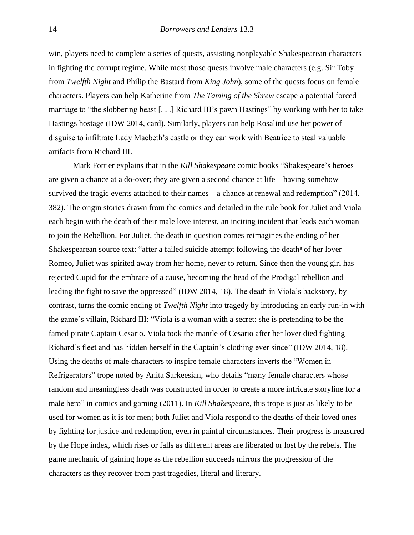win, players need to complete a series of quests, assisting nonplayable Shakespearean characters in fighting the corrupt regime. While most those quests involve male characters (e.g. Sir Toby from *Twelfth Night* and Philip the Bastard from *King John*), some of the quests focus on female characters. Players can help Katherine from *The Taming of the Shrew* escape a potential forced marriage to "the slobbering beast [. . .] Richard III's pawn Hastings" by working with her to take Hastings hostage (IDW 2014, card). Similarly, players can help Rosalind use her power of disguise to infiltrate Lady Macbeth's castle or they can work with Beatrice to steal valuable artifacts from Richard III.

Mark Fortier explains that in the *Kill Shakespeare* comic books "Shakespeare's heroes are given a chance at a do-over; they are given a second chance at life—having somehow survived the tragic events attached to their names—a chance at renewal and redemption" (2014, 382). The origin stories drawn from the comics and detailed in the rule book for Juliet and Viola each begin with the death of their male love interest, an inciting incident that leads each woman to join the Rebellion. For Juliet, the death in question comes reimagines the ending of her Shakespearean source text: "after a failed suicide attempt following the death<sup>8</sup> of her lover Romeo, Juliet was spirited away from her home, never to return. Since then the young girl has rejected Cupid for the embrace of a cause, becoming the head of the Prodigal rebellion and leading the fight to save the oppressed" (IDW 2014, 18). The death in Viola's backstory, by contrast, turns the comic ending of *Twelfth Night* into tragedy by introducing an early run-in with the game's villain, Richard III: "Viola is a woman with a secret: she is pretending to be the famed pirate Captain Cesario. Viola took the mantle of Cesario after her lover died fighting Richard's fleet and has hidden herself in the Captain's clothing ever since" (IDW 2014, 18). Using the deaths of male characters to inspire female characters inverts the "Women in Refrigerators" trope noted by Anita Sarkeesian, who details "many female characters whose random and meaningless death was constructed in order to create a more intricate storyline for a male hero" in comics and gaming (2011). In *Kill Shakespeare*, this trope is just as likely to be used for women as it is for men; both Juliet and Viola respond to the deaths of their loved ones by fighting for justice and redemption, even in painful circumstances. Their progress is measured by the Hope index, which rises or falls as different areas are liberated or lost by the rebels. The game mechanic of gaining hope as the rebellion succeeds mirrors the progression of the characters as they recover from past tragedies, literal and literary.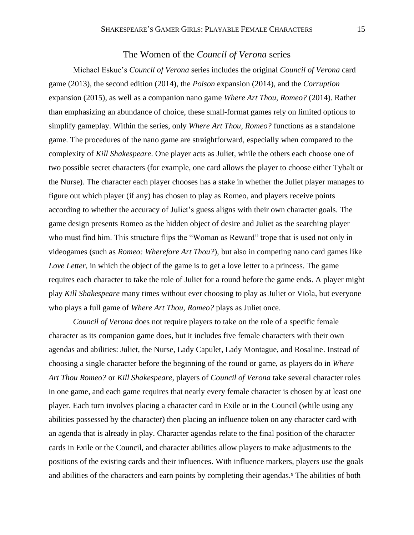# The Women of the *Council of Verona* series

Michael Eskue's *Council of Verona* series includes the original *Council of Verona* card game (2013), the second edition (2014), the *Poison* expansion (2014), and the *Corruption* expansion (2015), as well as a companion nano game *Where Art Thou, Romeo?* (2014). Rather than emphasizing an abundance of choice, these small-format games rely on limited options to simplify gameplay. Within the series, only *Where Art Thou, Romeo?* functions as a standalone game. The procedures of the nano game are straightforward, especially when compared to the complexity of *Kill Shakespeare*. One player acts as Juliet, while the others each choose one of two possible secret characters (for example, one card allows the player to choose either Tybalt or the Nurse). The character each player chooses has a stake in whether the Juliet player manages to figure out which player (if any) has chosen to play as Romeo, and players receive points according to whether the accuracy of Juliet's guess aligns with their own character goals. The game design presents Romeo as the hidden object of desire and Juliet as the searching player who must find him. This structure flips the "Woman as Reward" trope that is used not only in videogames (such as *Romeo: Wherefore Art Thou?*), but also in competing nano card games like *Love Letter*, in which the object of the game is to get a love letter to a princess. The game requires each character to take the role of Juliet for a round before the game ends. A player might play *Kill Shakespeare* many times without ever choosing to play as Juliet or Viola, but everyone who plays a full game of *Where Art Thou, Romeo?* plays as Juliet once.

*Council of Verona* does not require players to take on the role of a specific female character as its companion game does, but it includes five female characters with their own agendas and abilities: Juliet, the Nurse, Lady Capulet, Lady Montague, and Rosaline. Instead of choosing a single character before the beginning of the round or game, as players do in *Where Art Thou Romeo?* or *Kill Shakespeare*, players of *Council of Verona* take several character roles in one game, and each game requires that nearly every female character is chosen by at least one player. Each turn involves placing a character card in Exile or in the Council (while using any abilities possessed by the character) then placing an influence token on any character card with an agenda that is already in play. Character agendas relate to the final position of the character cards in Exile or the Council, and character abilities allow players to make adjustments to the positions of the existing cards and their influences. With influence markers, players use the goals and abilities of the characters and earn points by completing their agendas.<sup>9</sup> The abilities of both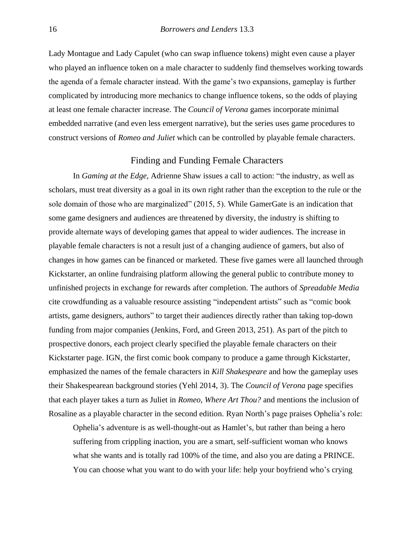Lady Montague and Lady Capulet (who can swap influence tokens) might even cause a player who played an influence token on a male character to suddenly find themselves working towards the agenda of a female character instead. With the game's two expansions, gameplay is further complicated by introducing more mechanics to change influence tokens, so the odds of playing at least one female character increase. The *Council of Verona* games incorporate minimal embedded narrative (and even less emergent narrative), but the series uses game procedures to construct versions of *Romeo and Juliet* which can be controlled by playable female characters.

# Finding and Funding Female Characters

In *Gaming at the Edge*, Adrienne Shaw issues a call to action: "the industry, as well as scholars, must treat diversity as a goal in its own right rather than the exception to the rule or the sole domain of those who are marginalized" (2015, 5). While GamerGate is an indication that some game designers and audiences are threatened by diversity, the industry is shifting to provide alternate ways of developing games that appeal to wider audiences. The increase in playable female characters is not a result just of a changing audience of gamers, but also of changes in how games can be financed or marketed. These five games were all launched through Kickstarter, an online fundraising platform allowing the general public to contribute money to unfinished projects in exchange for rewards after completion. The authors of *Spreadable Media* cite crowdfunding as a valuable resource assisting "independent artists" such as "comic book artists, game designers, authors" to target their audiences directly rather than taking top-down funding from major companies (Jenkins, Ford, and Green 2013, 251). As part of the pitch to prospective donors, each project clearly specified the playable female characters on their Kickstarter page. IGN, the first comic book company to produce a game through Kickstarter, emphasized the names of the female characters in *Kill Shakespeare* and how the gameplay uses their Shakespearean background stories (Yehl 2014, 3). The *Council of Verona* page specifies that each player takes a turn as Juliet in *Romeo, Where Art Thou?* and mentions the inclusion of Rosaline as a playable character in the second edition. Ryan North's page praises Ophelia's role:

Ophelia's adventure is as well-thought-out as Hamlet's, but rather than being a hero suffering from crippling inaction, you are a smart, self-sufficient woman who knows what she wants and is totally rad 100% of the time, and also you are dating a PRINCE. You can choose what you want to do with your life: help your boyfriend who's crying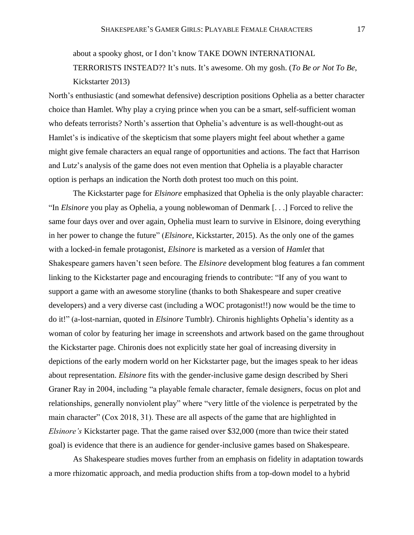about a spooky ghost, or I don't know TAKE DOWN INTERNATIONAL TERRORISTS INSTEAD?? It's nuts. It's awesome. Oh my gosh. (*To Be or Not To Be*, Kickstarter 2013)

North's enthusiastic (and somewhat defensive) description positions Ophelia as a better character choice than Hamlet. Why play a crying prince when you can be a smart, self-sufficient woman who defeats terrorists? North's assertion that Ophelia's adventure is as well-thought-out as Hamlet's is indicative of the skepticism that some players might feel about whether a game might give female characters an equal range of opportunities and actions. The fact that Harrison and Lutz's analysis of the game does not even mention that Ophelia is a playable character option is perhaps an indication the North doth protest too much on this point.

The Kickstarter page for *Elsinore* emphasized that Ophelia is the only playable character: "In *Elsinore* you play as Ophelia, a young noblewoman of Denmark [. . .] Forced to relive the same four days over and over again, Ophelia must learn to survive in Elsinore, doing everything in her power to change the future" (*Elsinore*, Kickstarter, 2015). As the only one of the games with a locked-in female protagonist, *Elsinore* is marketed as a version of *Hamlet* that Shakespeare gamers haven't seen before. The *Elsinore* development blog features a fan comment linking to the Kickstarter page and encouraging friends to contribute: "If any of you want to support a game with an awesome storyline (thanks to both Shakespeare and super creative developers) and a very diverse cast (including a WOC protagonist!!) now would be the time to do it!" (a-lost-narnian, quoted in *Elsinore* Tumblr). Chironis highlights Ophelia's identity as a woman of color by featuring her image in screenshots and artwork based on the game throughout the Kickstarter page. Chironis does not explicitly state her goal of increasing diversity in depictions of the early modern world on her Kickstarter page, but the images speak to her ideas about representation. *Elsinore* fits with the gender-inclusive game design described by Sheri Graner Ray in 2004, including "a playable female character, female designers, focus on plot and relationships, generally nonviolent play" where "very little of the violence is perpetrated by the main character" (Cox 2018, 31). These are all aspects of the game that are highlighted in *Elsinore's* Kickstarter page. That the game raised over \$32,000 (more than twice their stated goal) is evidence that there is an audience for gender-inclusive games based on Shakespeare.

As Shakespeare studies moves further from an emphasis on fidelity in adaptation towards a more rhizomatic approach, and media production shifts from a top-down model to a hybrid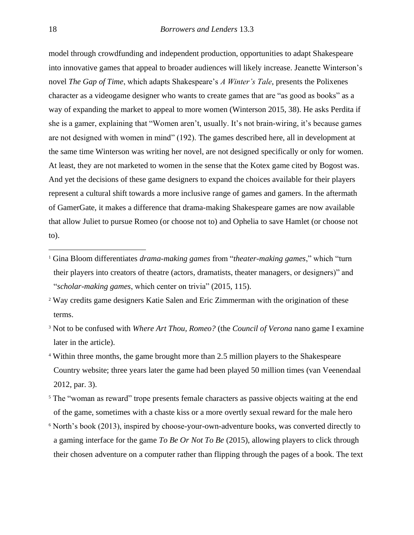model through crowdfunding and independent production, opportunities to adapt Shakespeare into innovative games that appeal to broader audiences will likely increase. Jeanette Winterson's novel *The Gap of Time*, which adapts Shakespeare's *A Winter's Tale*, presents the Polixenes character as a videogame designer who wants to create games that are "as good as books" as a way of expanding the market to appeal to more women (Winterson 2015, 38). He asks Perdita if she is a gamer, explaining that "Women aren't, usually. It's not brain-wiring, it's because games are not designed with women in mind" (192). The games described here, all in development at the same time Winterson was writing her novel, are not designed specifically or only for women. At least, they are not marketed to women in the sense that the Kotex game cited by Bogost was. And yet the decisions of these game designers to expand the choices available for their players represent a cultural shift towards a more inclusive range of games and gamers. In the aftermath of GamerGate, it makes a difference that drama-making Shakespeare games are now available that allow Juliet to pursue Romeo (or choose not to) and Ophelia to save Hamlet (or choose not to).

- <sup>3</sup> Not to be confused with *Where Art Thou, Romeo?* (the *Council of Verona* nano game I examine later in the article).
- <sup>4</sup> Within three months, the game brought more than 2.5 million players to the Shakespeare Country website; three years later the game had been played 50 million times (van Veenendaal 2012, par. 3).
- <sup>5</sup> The "woman as reward" trope presents female characters as passive objects waiting at the end of the game, sometimes with a chaste kiss or a more overtly sexual reward for the male hero
- <sup>6</sup> North's book (2013), inspired by choose-your-own-adventure books, was converted directly to a gaming interface for the game *To Be Or Not To Be* (2015), allowing players to click through their chosen adventure on a computer rather than flipping through the pages of a book. The text

<sup>1</sup> Gina Bloom differentiates *drama-making games* from "*theater-making games*," which "turn their players into creators of theatre (actors, dramatists, theater managers, or designers)" and "*scholar-making games*, which center on trivia" (2015, 115).

<sup>2</sup> Way credits game designers Katie Salen and Eric Zimmerman with the origination of these terms.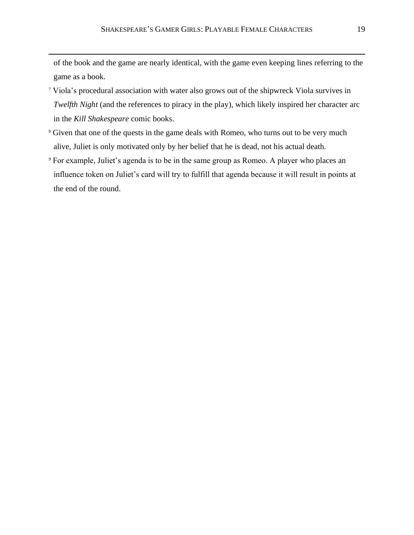of the book and the game are nearly identical, with the game even keeping lines referring to the game as a book.

- <sup>7</sup> Viola's procedural association with water also grows out of the shipwreck Viola survives in *Twelfth Night* (and the references to piracy in the play), which likely inspired her character arc in the *Kill Shakespeare* comic books.
- <sup>8</sup> Given that one of the quests in the game deals with Romeo, who turns out to be very much alive, Juliet is only motivated only by her belief that he is dead, not his actual death.
- <sup>9</sup> For example, Juliet's agenda is to be in the same group as Romeo. A player who places an influence token on Juliet's card will try to fulfill that agenda because it will result in points at the end of the round.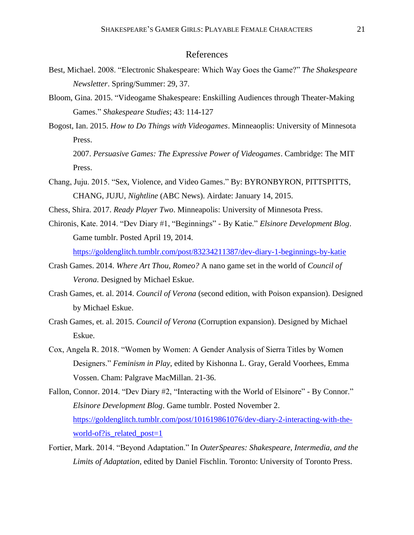## References

- Best, Michael. 2008. "Electronic Shakespeare: Which Way Goes the Game?" *The Shakespeare Newsletter*. Spring/Summer: 29, 37.
- Bloom, Gina. 2015. "Videogame Shakespeare: Enskilling Audiences through Theater-Making Games." *Shakespeare Studies*; 43: 114-127
- Bogost, Ian. 2015. *How to Do Things with Videogames*. Minneaoplis: University of Minnesota Press.

2007. *Persuasive Games: The Expressive Power of Videogames*. Cambridge: The MIT Press.

- Chang, Juju. 2015. "Sex, Violence, and Video Games." By: BYRONBYRON, PITTSPITTS, CHANG, JUJU, *Nightline* (ABC News). Airdate: January 14, 2015.
- Chess, Shira. 2017. *Ready Player Two*. Minneapolis: University of Minnesota Press.
- Chironis, Kate. 2014. "Dev Diary #1, "Beginnings" By Katie." *Elsinore Development Blog*. Game tumblr. Posted April 19, 2014. <https://goldenglitch.tumblr.com/post/83234211387/dev-diary-1-beginnings-by-katie>
- Crash Games. 2014. *Where Art Thou, Romeo?* A nano game set in the world of *Council of Verona*. Designed by Michael Eskue.
- Crash Games, et. al. 2014. *Council of Verona* (second edition, with Poison expansion). Designed by Michael Eskue.
- Crash Games, et. al. 2015. *Council of Verona* (Corruption expansion). Designed by Michael Eskue.
- Cox, Angela R. 2018. "Women by Women: A Gender Analysis of Sierra Titles by Women Designers." *Feminism in Play*, edited by Kishonna L. Gray, Gerald Voorhees, Emma Vossen. Cham: Palgrave MacMillan. 21-36.
- Fallon, Connor. 2014. "Dev Diary #2, "Interacting with the World of Elsinore" By Connor." *Elsinore Development Blog*. Game tumblr. Posted November 2. [https://goldenglitch.tumblr.com/post/101619861076/dev-diary-2-interacting-with-the](https://goldenglitch.tumblr.com/post/101619861076/dev-diary-2-interacting-with-the-world-of?is_related_post=1)world-of?is related post=1
- Fortier, Mark. 2014. "Beyond Adaptation." In *OuterSpeares: Shakespeare, Intermedia, and the Limits of Adaptation*, edited by Daniel Fischlin. Toronto: University of Toronto Press.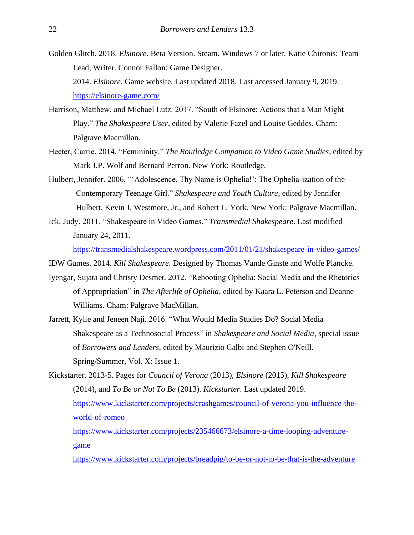- Golden Glitch. 2018. *Elsinore*. Beta Version. Steam. Windows 7 or later. Katie Chironis: Team Lead, Writer. Connor Fallon: Game Designer. 2014. *Elsinore*. Game website. Last updated 2018. Last accessed January 9, 2019. <https://elsinore-game.com/>
- Harrison, Matthew, and Michael Lutz. 2017. "South of Elsinore: Actions that a Man Might Play." *The Shakespeare User*, edited by Valerie Fazel and Louise Geddes. Cham: Palgrave Macmillan.
- Heeter, Carrie. 2014. "Femininity." *The Routledge Companion to Video Game Studies*, edited by Mark J.P. Wolf and Bernard Perron. New York: Routledge.
- Hulbert, Jennifer. 2006. "'Adolescence, Thy Name is Ophelia!': The Ophelia-ization of the Contemporary Teenage Girl." *Shakespeare and Youth Culture*, edited by Jennifer Hulbert, Kevin J. Westmore, Jr., and Robert L. York. New York: Palgrave Macmillan.
- Ick, Judy. 2011. "Shakespeare in Video Games." *Transmedial Shakespeare*. Last modified January 24, 2011.

<https://transmedialshakespeare.wordpress.com/2011/01/21/shakespeare-in-video-games/>

IDW Games. 2014. *Kill Shakespeare*. Designed by Thomas Vande Ginste and Wolfe Plancke.

- Iyengar, Sujata and Christy Desmet. 2012. "Rebooting Ophelia: Social Media and the Rhetorics of Appropriation" in *The Afterlife of Ophelia*, edited by Kaara L. Peterson and Deanne Williams. Cham: Palgrave MacMillan.
- Jarrett, Kylie and Jeneen Naji. 2016. "What Would Media Studies Do? Social Media Shakespeare as a Technosocial Process" in *Shakespeare and Social Media*, special issue of *Borrowers and Lenders*, edited by Maurizio Calbi and Stephen O'Neill. Spring/Summer, Vol. X: Issue 1.

Kickstarter. 2013-5. Pages for *Council of Verona* (2013), *Elsinore* (2015), *Kill Shakespeare* (2014), and *To Be or Not To Be* (2013). *Kickstarter*. Last updated 2019. [https://www.kickstarter.com/projects/crashgames/council-of-verona-you-influence-the](https://www.kickstarter.com/projects/crashgames/council-of-verona-you-influence-the-world-of-romeo)[world-of-romeo](https://www.kickstarter.com/projects/crashgames/council-of-verona-you-influence-the-world-of-romeo) [https://www.kickstarter.com/projects/235466673/elsinore-a-time-looping-adventure](https://www.kickstarter.com/projects/235466673/elsinore-a-time-looping-adventure-game)[game](https://www.kickstarter.com/projects/235466673/elsinore-a-time-looping-adventure-game)

<https://www.kickstarter.com/projects/breadpig/to-be-or-not-to-be-that-is-the-adventure>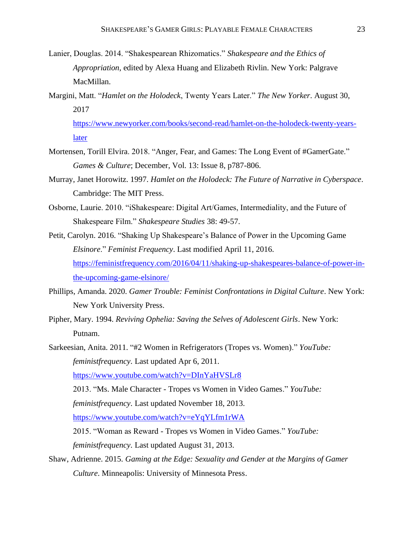- Lanier, Douglas. 2014. "Shakespearean Rhizomatics." *Shakespeare and the Ethics of Appropriation*, edited by Alexa Huang and Elizabeth Rivlin. New York: Palgrave MacMillan.
- Margini, Matt. "*Hamlet on the Holodeck*, Twenty Years Later." *The New Yorker*. August 30, 2017

[https://www.newyorker.com/books/second-read/hamlet-on-the-holodeck-twenty-years](https://www.newyorker.com/books/second-read/hamlet-on-the-holodeck-twenty-years-later)[later](https://www.newyorker.com/books/second-read/hamlet-on-the-holodeck-twenty-years-later)

- Mortensen, Torill Elvira. 2018. "Anger, Fear, and Games: The Long Event of #GamerGate." *Games & Culture*; December, Vol. 13: Issue 8, p787-806.
- Murray, Janet Horowitz. 1997. *Hamlet on the Holodeck: The Future of Narrative in Cyberspace*. Cambridge: The MIT Press.
- Osborne, Laurie. 2010. "iShakespeare: Digital Art/Games, Intermediality, and the Future of Shakespeare Film." *Shakespeare Studies* 38: 49-57.
- Petit, Carolyn. 2016. "Shaking Up Shakespeare's Balance of Power in the Upcoming Game *Elsinore*." *Feminist Frequency*. Last modified April 11, 2016. [https://feministfrequency.com/2016/04/11/shaking-up-shakespeares-balance-of-power-in](https://feministfrequency.com/2016/04/11/shaking-up-shakespeares-balance-of-power-in-the-upcoming-game-elsinore/)[the-upcoming-game-elsinore/](https://feministfrequency.com/2016/04/11/shaking-up-shakespeares-balance-of-power-in-the-upcoming-game-elsinore/)
- Phillips, Amanda. 2020. *Gamer Trouble: Feminist Confrontations in Digital Culture*. New York: New York University Press.
- Pipher, Mary. 1994. *Reviving Ophelia: Saving the Selves of Adolescent Girls*. New York: Putnam.
- Sarkeesian, Anita. 2011. "#2 Women in Refrigerators (Tropes vs. Women)." *YouTube: feministfrequency*. Last updated Apr 6, 2011. <https://www.youtube.com/watch?v=DInYaHVSLr8> 2013. "Ms. Male Character - Tropes vs Women in Video Games." *YouTube: feministfrequency*. Last updated November 18, 2013. <https://www.youtube.com/watch?v=eYqYLfm1rWA> 2015. "Woman as Reward - Tropes vs Women in Video Games." *YouTube: feministfrequency*. Last updated August 31, 2013.
- Shaw, Adrienne. 2015. *Gaming at the Edge: Sexuality and Gender at the Margins of Gamer Culture*. Minneapolis: University of Minnesota Press.